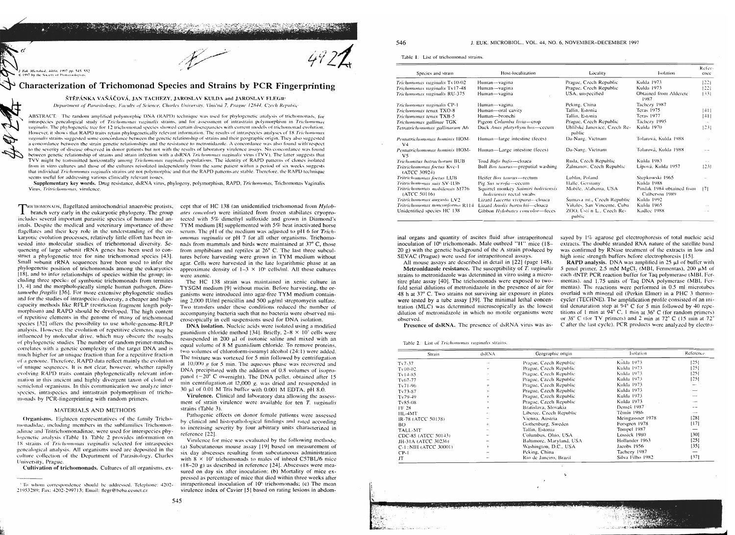March & Police and Market Mark Commanders of

Microbiol., 44(6), 1997 pp. 545-552 997 by the Society of Protozoologist

# Characterization of Trichomonad Species and Strains by PCR Fingerprinting

# ŠTĚPÁNKA VAŠÁČOVÁ, JAN TACHEZY, JAROSLAV KULDA and JAROSLAV FLEGR

Department of Parasitology, Faculty of Science, Charles University, Viničná 7, Prague 12844, Czech Republic

ABSTRACT. The random amplified polymorphic DNA (RAPD) technique was used for phylogenetic analysis of trichomonads, for intraspecies genealogical study of Trichomonas vaginalis strains, and for assessment of intrastrain polymorphism in Trichomonas vaginalis. The phylogenetic tree for 12 trichomonad species showed certain discrepancies with current models of trichomonad evolution, However, it shows that RAPD traits retain phylogenetically relevant information. The results of intraspecies analyses of 18 Trichomonus vaginalis strains suggested some concordance between the genetic relationship of strains and their geographic origin. They also suggested a concordance between the strain genetic relationships and the resistance to metronidazole. A concordance was also found with respect to the severity of disease observed in donor patients but not with the results of laboratory virulence assays. No concordance was found between genetic relationship of strains and strain infection with a dsRNA Trichomonas vaginalis virus (TVV). The latter suggests that TVV might be transmitted horizontally among Trichomonas vaginalis populations. The identity of RAPD patterns of clones isolated from in vitro cultures and those of the cultures reisolated independently from the same patient within a period of six weeks suggests that individual Trichomonas vaginalis strains are not polymorphic and that the RAPD patterns are stable. Therefore, the RAPD technique seems useful for addressing various clinically relevant issues.

Supplementary key words. Drug resistance, dsRNA virus, phylogeny, polymorphism, RAPD, Trichomonas, Trichomonas Vaginalis Virus, Tritrichomonas, virulence

**ERICHOMONADS**, flagellated amitochondrial anaerobic protists, I branch very early in the eukaryotic phylogeny. The group includes several important parasitic species of humans and animals. Despite the medical and veterinary importance of these flagellates and their key role in the understanding of the eukaryotic evolution processes, relatively little effort has been invested into molecular studies of trichomonad diversity. Sequencing of large subunit rRNA genes has been used to construct a phylogenetic tree for nine trichomonad species [43]. Small subunit rRNA sequences have been used to infer the phylogenetic position of trichomonads among the eukaryotics [18], and to infer relationships of species within the group; including three species of symbiotic trichomonads from termites [3, 4] and the morphologically simple human pathogen, *Dien*tamoeba fragilis [36]. For more extensive phylogenetic studies and for the studies of intraspecies diversity, a cheaper and highcapacity methods like RFLP (restriction fragment length polymorphism) and RAPD should be developed. The high content of repetitive elements in the genome of many of trichomonad species [32] offers the possibility to use whole-genome-RFLP analysis. However, the evolution of repetitive elements may be influenced by molecular drive, which may obscure the results of phylogenetic studies. The number of random primer-matches correlates with a genetic complexity of the target DNA and is much higher for an unique fraction than for a repetitive fraction. of a genome. Therefore, RAPD data reflect mainly the evolutionof unique sequences. It is not clear, however, whether rapidly evolving RAPD traits contain phylogenetically relevant information in this ancient and highly divergent taxon of clonal or semiclonal organisms. In this communication we analyze interspecies, intraspecies and intrastrain polymorphism of trichomonads by PCR-fingerprinting with random primers.

### MATERIALS AND METHODS

Organisms. Eighteen representatives of the family Trichomonadidae, including members in the subfamilies Trichomonadinae and Tritrichomonadinae, were used for interspecies phylogenetic analysis (Table 1). Table 2 provides information on 18 strains of Trichomonas vaginalis selected for intraspecies genealogical analysis. All organisms used are deposited in the culture collection of the Department of Parasitology, Charles-University, Prague

Cultivation of trichomonads. Cultures of all organisms, ex-

cept that of HC 138 (an unidentified trichomonad from Hylobates concolor) were initiated from frozen stabilates cryoprotected with 5% dimethyl sulfoxide and grown in Diamond's TYM medium [8] supplemented with 5% heat inactivated horse serum. The pH of the medium was adjusted to pH 6 for Trichomonas vaginalis or pH 7 for all other organisms. Trichomonads from mammals and birds were maintained at 37° C, those from amphibians and reptiles at 26° C. The last three subcultures before harvesting were grown in TYM medium without agar. Cells were harvested in the late logarithmic phase at an approximate density of  $1-3 \times 10^6$  cells/ml. All these cultures were axenic

The HC 138 strain was maintained in xenic culture in TYSGM medium [9] without mucin. Before harvesting, the organisms were introduced into agar-free TYM medium containing 2,000 IU/ml penicillin and 500 µg/ml streptomycin sulfate. Two transfers under these conditions reduced the number of accompanying bacteria such that no bacteria were observed microscopically in cell suspensions used for DNA isolation.

DNA isolation. Nucleic acids were isolated using a modified guanidium chloride method [34]. Briefly,  $2-8 \times 10^7$  cells were resuspended in 200 µI of isotonic saline and mixed with an equal volume of 8 M guanidium chloride. To remove proteins, two volumes of chloroform-isoamyl alcohol (24:1) were added. The mixture was vortexed for 5 min followed by centrifugation at 10,000 g for 5 min. The aqueous phase was recovered and DNA precipitated with the addition of 0.8 volumes of isopropanol  $(-20^{\circ}$  C overnight). The DNA pellet, obtained after 15 min centrifugation at 12,000 g, was dried and resuspended in 30 µl of 0.01 M Tris buffer with 0.001 M EDTA, pH 8.0.

Virulence. Clinical and laboratory data allowing the assessment of strain virulence were available for ten T. vaginalis strains (Table 3).

Pathogenic effects on donor female patients were assessed by clinical and histopathological findings and rated according to increasing severity by four arbitrary units characterized in reference [22].

Virulence for mice was evaluated by the following methods: (a) Subcutaneous mouse assay [19] based on measurement of six day abscesses resulting from subcutaneous administration with  $8 \times 10^5$  trichomonads to males of inbred C57BL/6 mice (18-20 g) as described in reference [24]. Abscesses were measured on day six after inoculation; (b) Mortality of mice expressed as percentage of mice that died within three weeks after intraperitoneal inoculation of 10<sup>6</sup> trichomonads; (c) The mean virulence index of Cavier [5] based on rating lesions in abdom546

### J. EUK. MICROBIOL., VOL. 44, NO. 6, NOVEMBER-DECEMBER 1997

Table 1. List of trichomonad strains

| Species and strain                              | Host-localization                                                      | Locality                               | <b>Isolation</b>                            | Refer<br>ence |
|-------------------------------------------------|------------------------------------------------------------------------|----------------------------------------|---------------------------------------------|---------------|
| Trichomonas vaginalis Tv10-02                   | Human-vagina                                                           | Prague, Czech Republic                 | Kulda 1973                                  | 1221          |
| Trichomonas vaginalis Tv17-48                   | Human-vagina                                                           | Prague, Czech Republic                 | Kulda 1973                                  | 1221          |
| Trichamonas vaginalis RU-375                    | Human-vagina                                                           | USA, unspecified                       | Obtained from Alderete<br>1987              | (33)          |
| Trichomonas vaginalis CP-1                      | Human-vagina                                                           | Peking, China                          | Tachezy 1987                                |               |
| Trichomonas tenax TXO-8                         | Human-oral cavity                                                      | Tallin, Estonia                        | Teras 1975                                  | 41            |
| Trichomonas tenax TXB-5                         | Human—bronchi                                                          | Tallin, Estonia                        | Teras 1977                                  | [41]          |
| Trichomonas gallinae TGK                        | Pigeon Columba livia-crop                                              | Prague, Czech Republic                 | Tachezy 1995                                |               |
| Tetratrichomonas gallinarum A6                  | Duck Anas platyrhynchos-cecum                                          | Uhlířské Janovice, Czech Re-<br>public | Kulda 1970                                  | [23]          |
| Pentatrichomonas hominis HOM-<br>V <sub>4</sub> | Human-large intestine (feces)                                          | Da-Nang, Vietnam                       | Tolarová, Kulda 1988                        | $\sim$        |
| Pentatrichomonas hominis HOM-<br>V <sub>5</sub> | Human-Large intestine (feces)                                          | Da-Nang, Vietnam                       | Tolarová, Kulda 1988                        |               |
| <b>Trichomitus batrachorum BUB</b>              | Toad Bufo bufo-cloaca                                                  | Ruda, Czech Republic                   | Kulda 1983                                  |               |
| Tritrichomonas foctus Kvc-1<br>(ATCC 30924)     | Bull Bos taurus-preputial washing                                      | Žalmanov, Czech Republic               | Lípová, Kulda 1957                          | [23]          |
| Tritrichomonas foctus LUB                       | Heifer Bos taurus--- rectum                                            | Lublin, Poland                         | Stepkowski 1965                             |               |
| Tritrichomonas suis SV-113b                     | Pig Sus scrofa-cecum                                                   | Halle, Germany                         | Kulda 1988                                  |               |
| Tritrichomonas mobilensis M776<br>(ATCC 50116)  | Squirrel monkey Saimiri boliviensis<br><i>boliviensis</i> rectal swabs | Mobile, Alabama, USA                   | Pindak 1984 obtained from<br>Culberson 1989 | 171           |
| Tritrichomonas augusta LV2                      | Lizard Lacerta vivipara--cloaca                                        | Sumava int., Czech Republic            | Kulda 1992                                  |               |
| Tritrichomonas nonconforma R114                 | Lizard Anolis bartschii-cloaca                                         | Viñales, San Vincente, Cuba-           | Kulda 1965                                  |               |
| Unidentified species HC 138                     | Gibbon Hylobates concolor-feces                                        | ZOO, Usti n L., Czech Re-<br>public    | Kadlee 1988                                 |               |

inal organs and quantity of ascites fluid after intraperitoneal inoculation of 10<sup>6</sup> trichomonads. Male outbred "H" mice (18-20 g) with the genetic background of the A strain produced by SEVAC (Prague) were used for intraperitoneal assays.

All mouse assays are described in detail in [22] (page 148). Metronidazole resistance. The susceptibility of T. vaginalis strains to metronidazole was determined in vitro using a microtitre plate assay [40]. The trichomonads were exposed to twofold serial dilutions of metronidazole in the presence of air for 48 h at 37° C. Two strains not surviving air exposure in plates were tested by a tube assay [39]. The minimal lethal concentration (MLC) was determined microscopically as the lowest dilution of metronidazole in which no motile organisms were observed.

sayed by 1% agarose gel electrophoresis of total nucleic acid extracts. The double stranded RNA nature of the satellite band was confirmed by RNase treatment of the extracts in low and high ionic strength buffers before electrophoresis [15].

**RAPD** analysis. DNA was amplified in  $25 \mu l$  of buffer with 5 pmol primer, 2.5 mM  $MgCl_2$  (MBI, Fermentas), 200  $\mu$ M of each dNTP. PCR reaction buffer for Taq polymerase (MBI, Fermentas), and 1.75 units of Taq DNA polymerase (MBI, Fermentas). The reactions were performed in 0.5 ml microtubes overlaid with mineral oil (Perkin Elmer) in a PHC 3 thermocycler (TECHNE). The amplification profile consisted of an initial denaturation step at  $94^{\circ}$  C for 5 min followed by 40 repetitions of 1 min at 94° C, 1 min at 36° C (for random primers) or 38° C (for TV primers) and 2 min at 72° C (15 min at 72° C after the last cycle). PCR products were analyzed by electro-

Presence of dsRNA. The presence of dsRNA virus was as-

Table 2. List of Trichomonas vaginalis strains

| Strain                | dsRNA  | Geographic origin        | Isolation        | Reference    |
|-----------------------|--------|--------------------------|------------------|--------------|
| $Tv7-37$              | $\sim$ | Prague, Czech Republic   | Külda 1973       | [25]         |
| Tv10-02               | ÷      | Prague, Czech Republic   | Kulda 1973       | [25]         |
| $Tv14-85$             | $\sim$ | Prague, Czech Republic   | Kulda 1973       | 25           |
| Tv67-77               |        | Prague, Czech Republic   | Kulda 1973       | [25]         |
| $Tv71-96$             |        | Prague, Czech Republic   | Kulda 1973       |              |
| $Tv73-87$             | ÷      | Prague, Czech Republic   | Kulda 1973       |              |
| $Tv79-49$             |        | Prague, Czech Republic   | Kulda 1973       | --           |
| $Tv85-08$             |        | Prague, Czech Republic   | Kulda 1973       |              |
| FF 28                 |        | Bratislava, Slovakia.    | Demeš 1987       |              |
| $HL-4MT$              |        | Liberec, Czech Republic  | Těmín 1986       | <b>Color</b> |
| IR-78 (ATCC 50138)    |        | Vienna, Austria          | Meingassner 1978 | 28           |
| BO                    | $+$    | Gothenburg, Sweden       | Forsgren 1978    | {17}         |
| TALL-MT               |        | Tallin, Estonia          | Tompel 1987      | -            |
| CDC-85 (ATCC 50143)   | stay.  | Columbus, Ohio, USA      | Lossick 1980     | [30]         |
| JH-31A (ATCC 30236)   |        | Baltimore, Maryland, USA | Hollander 1963   | [25]         |
| C-1: NIH (ATCC 30001) |        | Washington, D.C., USA    | Jacobs 1956      | [35]         |
| $CP-1$                |        | Peking, China            | Tachezy 1987     | –            |
| JT                    |        | Rio de Janeiro, Brazil   | Silva Filho 1982 | [37]         |

<sup>&</sup>lt;sup>1</sup> To whom correspondence should be addressed. Telephone: 4202-21953289; Fax: 4202-299713; Email: flegr@beba.cesnet.cz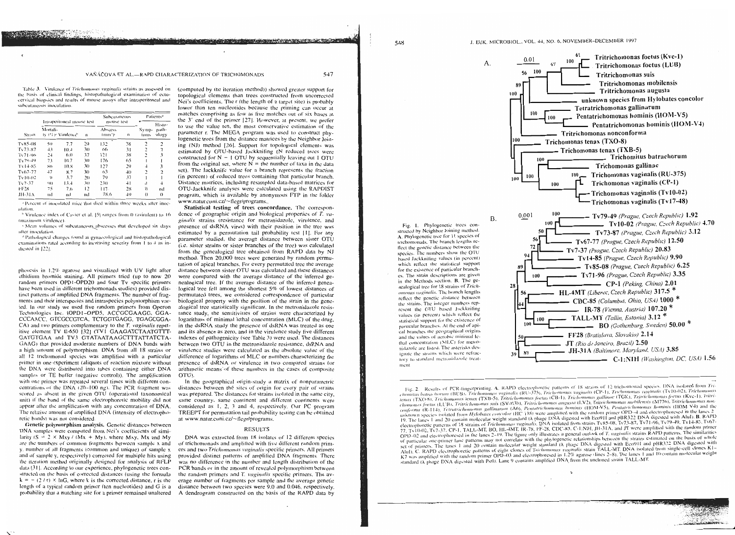#### VAŇÁČOVÁ ET AL.-RAPD CHARACTERIZATION OF TRICHOMONADS

Table 3. Virulence of Trichomonas vaginalis strains as assessed on the basis of clinical findings, histopathological examination of ectocervical biopsies and results of mouse assays after intraperitoneal and subcutaneous inoculation

| Strain        |          |                                                 |              | Subcutaneous                   |              | Patients <sup>a</sup> |                          |
|---------------|----------|-------------------------------------------------|--------------|--------------------------------|--------------|-----------------------|--------------------------|
|               | Mortali- | Intraperitoneal mouse test<br>tv (Gr Virulence) | $\mathbf{n}$ | mouse test<br>Abscess<br>(mm'r | $\mathbf{u}$ | Symp-<br>toms         | Histo-<br>path-<br>ology |
| Ty85-08       | 50       | 7.7                                             | 2()          | 132                            | 38           | $\overline{c}$        | 2                        |
| $T_v 73.87$   | 43       | 10.4                                            | 30           | 66                             | 31           | 2                     | $\overline{c}$           |
| Tv71-96       | $^{24}$  | 6(1)                                            | 37           | 2                              | 38           | $\overline{c}$        | 3                        |
| $Tv79-49$     | 73       | 10.7                                            | 30           | 176                            | 65           |                       |                          |
| Tv14-85       | 86       | 10.8                                            | 30           | 127                            | 29           | $\overline{1}$        | 3                        |
| $T_v67-77$    | $-17$    | 8.7                                             | 30           | 63                             | $-4(1)$      | 2                     | $\overline{\mathbf{c}}$  |
| Tv10-02       | $\cup$   | 3.7                                             | 2()          | 79                             | 37           | ı                     |                          |
| $Tv7-37$      | 90       | 13.4                                            | 30           | 230                            | 41           | $\overline{1}$        | 4                        |
| FF28          | 75       | 7.6                                             | 12           | 117.                           | 28           | $\theta$              | nd                       |
| <b>JH-31A</b> | пđ       | nd                                              | nd           | 78.6                           | 49           | $\theta$              | $\Omega$                 |

a Percent of inoculated mice that died within three weeks after inoculation

<sup>6</sup> Virulence index of Cavier et al. [5] ranges from 0 (avirulent) to 16 (maximum virulence).

6 Mean volumes of subcutaneous abscesses that developed six days after inoculation

<sup>14</sup> Pathological changes found at gynaecological and histopathological examinations rated according to increasing severity from 1 to 4 as indicated in [22]

phoresis in 1.2% agarose and visualized with UV light after ethidium bromide staining. All primers tried (up to now 20 random primers OPD1-OPD20 and four Tv specific primers have been used in different trichomonads studies) provided distinct patterns of amplified DNA fragments. The number of fragments and their interspecies and intraspecies polymorphism varied. In our study we used five random primers from Operon Technologies Inc. (OPD1-OPD5, ACCGCGAAGG, GGA-CCCAACC, GTCGCCGTCA, TCTGGTGAGG, TGAGCGGA-CA) and two primers complementary to the T. vaginalis repetitive element TV E-650 [32] (TVI GAAGATCTAATGTTT-GATGTGAA and TV3 GTATAATAAGCTTTATTATCTA-GAAG) that provided moderate numbers of DNA bands with a high amount of polymorphism. DNA from all 18 strains or all 12 trichomonad species was amplified with a particular primer in one experiment (aliquots of reaction mixture without the DNA were distributed into tubes containing either DNA samples or TE buffer (negative control)). The amplification with one primer was repeated several times with different concentrations of the DNA (20-100 ng). The PCR fragment was scored as absent in the given OTU (operational taxonomical unit) if the band of the same electrophoretic mobility did not appear after the amplification with any concentration of DNA. The relative amount of amplified DNA (intensity of electrophoretic bands) was not considered.

Genetic polymorphism analysis. Genetic distances between DNA samples were computed from Nei's coefficients of similarity ( $S = 2 \times Mxy / (Mx + My)$ , where Mxy, Mx and My are the numbers of common fragments between sample x and y, number of all fragments (common and unique) of sample x and of sample y, respectively) corrected for multiple hits using the iteration method originally designed for analysis of RFLP data [31]. According to our experience, phylogenetic trees constructed on the basis of corrected distances (using the formula  $k = - (2/r) \times lnG$ , where k is the corrected distance, r is the length of a typical random primer (ten nucleotides) and G is a probability that a matching site for a primer remained unaltered

(computed by the iteration method)) showed greater support for topological elements than trees constructed from uncorrected Nei's coefficients. The r (the length of a target site) is probably lower than ten nucleotides because the priming can occur at matches comprising as few as five matches out of six bases at the 3' end of the primer [27]. However, at present, we prefer to use the value ten, the most conservative estimation of the parameter r. The MEGA program was used to construct phylogenetic trees from the distance matrices by the Neighbor Joining (NJ) method [26]. Support for topological elements was estimated by OTU-based Jackknifing (N reduced trees were constructed for  $N - 1$  OTU by sequentially leaving out 1 OTU from the original set, where  $N =$  the number of taxa in the data set). The Jackknife value for a branch represents the fraction (in percent) of reduced trees containing that particular branch. Distance matrices, including resampled data-based matrices for OTU-Jackknife analyses were calculated using the RAPDIST program, which is available by anonymous FTP in the folder www.natur.cuni.cz/~flegr/programs.

**CAR CONTRACTOR** 

547

Statistical testing of trees concordance. The correspondence of geographic origin and biological properties of  $T$ , vaginalis strains (resistance for metronidazole, virulence, and presence of dsRNA virus) with their position in the tree was estimated by a permutation tail probability test [1]. For any parameter studied, the average distance between sister OTU (i.e. sister strains or sister branches of the tree) was calculated from the genealogical tree obtained from RAPD data by NJ method. Then 20,000 trees were generated by random permutation of apical branches. For every permutated tree the average distance between sister OTU was calculated and these distances were compared with the average distance of the inferred genealogical tree. If the average distance of the inferred genealogical tree fell among the shortest 5% of lowest distances of permutated trees, we considered correspondence of particular biological property with the position of the strain in the genealogical tree statistically significant. In the metronidazole resistance study, the sensitivities of strains were characterized by logarithms of minimal lethal concentration (MLC) of the drug, in the dsRNA study the presence of dsRNA was treated as one and its absence as zero, and in the virulence study five different indexes of pathogenicity (see Table 3) were used. The distances between two OTU in the metronidazole resistance, dsRNA and virulence studies were calculated as the absolute value of the difference of logarithms of MLC or numbers characterizing the presence of dsRNA or virulence in two compared strains (or arithmetic means of these numbers in the cases of composite OTU).

In the geographical origin-study a matrix of nonparametric distances between the sites of origin for every pair of strains was prepared. The distances for strains isolated in the same city, same country, same continent and different continents were considered as 1, 2, 3 and 4, respectively. Our PC program TREEPT for permutation tail probability testing can be obtained at www.natur.cuni.cz/~flegr/programs.

#### **RESULTS**

DNA was extracted from 18 isolates of 12 different species of trichomonads and amplified with five different random primers and two Trichomonas vaginalis specific primers. All primers provided distinct patterns of amplified DNA fragments. There was no difference in the number and length distribution of the PCR bands or in the amount of revealed polymorphism between the random primers and T. vaginalis specific primers. The average number of fragments per sample and the average genetic distance between two species were 9.0 and 0.046, respectively. A dendrogram constructed on the basis of the RAPD data by

Fig. 1. Phylogenetic trees constructed by Neighbor Joining method A. Phylogenetic tree for 11 species of trichomonads. The branch lengths reflect the genetic distance between the species. The numbers show the OTU based Jackknifing values (in percent) which reflect the statistical support for the existence of particular branches. The strain descriptions are given in the Methods section. B. The genealogical tree for 18 strains of Trichomonas vaginalis. The branch lengths reflect the genetic distance between the strains. The integer numbers represent the OTU based Jackknifing values (in percent) which reflect the statistical support for the existence of particular branches. At the end of apical branches the geographical origins and the values of aerobic minimal lethal concentration (MLC) for metronidazole are listed. The asterisks designate the strains which were refractory to standard metronidazole treatment



Fig. 2. Results of PCR-fingerprinting. A. RAPD electrophoretic patterns of 18 strains of 12 trichomonad species. DNA isolated from Trichomitus batrachorum (BUB), Trichomonas vaginalis (RU-375), Trichomonas vaginalis (CP-1), Trichomonas vaginalis (Tv10-02), Tricho tenax (TXO-8), Trichomonas tenax (TXB-5), Tritrichomonas foetas (CB-1). Trichomonas gallinae (TGK), Tritrichomonas foetas (Kve-1), Tritrichomonas foetus (LUB), Trarichomonas suis (SV-H3b), Trarichomonas augusta (LV2), Tratrichomonas mobilensis (M776), Trarichomonas nonconforma (R-114). Tetratrichomonas gallinarum (A6), Pentatrichomonas hominis (HOM-V5). Pentatrichomonas hominis (HOM-V4) and the unknown species isolated from Hylobates concolor (HC 138) were amplified with the random primer OPD-4 and electrophoresed in the lanes 2 19. The lanes 1 and 20 contain molecular weight standard (X phage DNA digested with Eco911 and pBR322 DNA digested with AluI). B. RAPD electrophoretic patterns of 18 strains of Trichomonas vaginalis. DNA isolated from strains Tv85-08, Tv73-87, Tv71-96, Tv79-49, Tv14-85, Tv67-77. Tv10-02, Tv7-37. CP-1. TALL-MT. BO, HL-4MT. IR-78, FF-28, CDC-85, C-1:NIH, JH-31A, and JT were amplified with the random primer OPD-02 and electrophoresed in the lanes 2-19. The tigure only illustrates a general outlook of T. vaginalis strains RAPD patterns. The similarities of particular one-primer lane patterns may not correlate with the phylogenetic relationships between the strains estimated on the basis of whole set of primers. The lanes 1 and 20 contain molecular weight standard (A phage DNA digested with Eco911 and pBR322 DNA digested with Aluf). C. RAPD electrophoretic patterns of eight clones of Trichomonas vaginalis strain TALL-MT. DNA isolated from single-cell clones K1-K7 was amplified with the random primer OPD-03 and electrophoresed in 1.2% agarose (lines 2-8). The lanes 1 and 10 contain molecular weight standard (A phage DNA digested with PstI). Lane 9 contains amplified DNA from the uncloned strain TALL-MT.